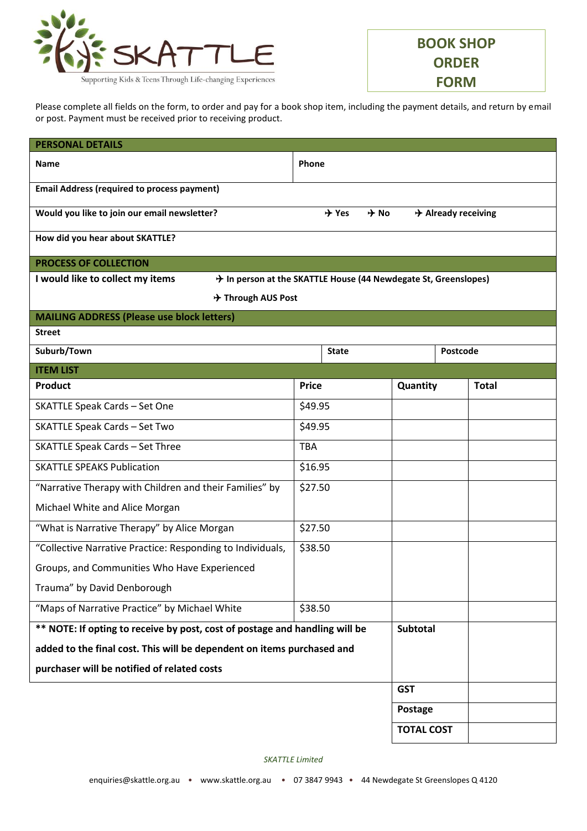

**BOOK SHOP ORDER FORM**

Please complete all fields on the form, to order and pay for a book shop item, including the payment details, and return by email or post. Payment must be received prior to receiving product.

| <b>PERSONAL DETAILS</b>                                                     |                                                                 |                   |                                 |  |
|-----------------------------------------------------------------------------|-----------------------------------------------------------------|-------------------|---------------------------------|--|
| <b>Name</b>                                                                 | Phone                                                           |                   |                                 |  |
| <b>Email Address (required to process payment)</b>                          |                                                                 |                   |                                 |  |
| Would you like to join our email newsletter?                                | $\div$ Yes                                                      | $\div$ No         | $\rightarrow$ Already receiving |  |
| How did you hear about SKATTLE?                                             |                                                                 |                   |                                 |  |
| <b>PROCESS OF COLLECTION</b>                                                |                                                                 |                   |                                 |  |
| I would like to collect my items                                            | + In person at the SKATTLE House (44 Newdegate St, Greenslopes) |                   |                                 |  |
| → Through AUS Post                                                          |                                                                 |                   |                                 |  |
| <b>MAILING ADDRESS (Please use block letters)</b>                           |                                                                 |                   |                                 |  |
| <b>Street</b>                                                               |                                                                 |                   |                                 |  |
| Suburb/Town                                                                 | <b>State</b>                                                    |                   | Postcode                        |  |
| <b>ITEM LIST</b>                                                            |                                                                 |                   |                                 |  |
| <b>Product</b>                                                              | <b>Price</b>                                                    | Quantity          | <b>Total</b>                    |  |
| <b>SKATTLE Speak Cards - Set One</b>                                        | \$49.95                                                         |                   |                                 |  |
| <b>SKATTLE Speak Cards - Set Two</b>                                        | \$49.95                                                         |                   |                                 |  |
| <b>SKATTLE Speak Cards - Set Three</b>                                      | <b>TBA</b>                                                      |                   |                                 |  |
| <b>SKATTLE SPEAKS Publication</b>                                           | \$16.95                                                         |                   |                                 |  |
| "Narrative Therapy with Children and their Families" by                     | \$27.50                                                         |                   |                                 |  |
| Michael White and Alice Morgan                                              |                                                                 |                   |                                 |  |
| "What is Narrative Therapy" by Alice Morgan                                 | \$27.50                                                         |                   |                                 |  |
| "Collective Narrative Practice: Responding to Individuals,                  | \$38.50                                                         |                   |                                 |  |
| Groups, and Communities Who Have Experienced                                |                                                                 |                   |                                 |  |
| Trauma" by David Denborough                                                 |                                                                 |                   |                                 |  |
| "Maps of Narrative Practice" by Michael White                               | \$38.50                                                         |                   |                                 |  |
| ** NOTE: If opting to receive by post, cost of postage and handling will be |                                                                 | <b>Subtotal</b>   |                                 |  |
| added to the final cost. This will be dependent on items purchased and      |                                                                 |                   |                                 |  |
| purchaser will be notified of related costs                                 |                                                                 |                   |                                 |  |
|                                                                             |                                                                 | <b>GST</b>        |                                 |  |
|                                                                             |                                                                 | Postage           |                                 |  |
|                                                                             |                                                                 | <b>TOTAL COST</b> |                                 |  |

*SKATTLE Limited*